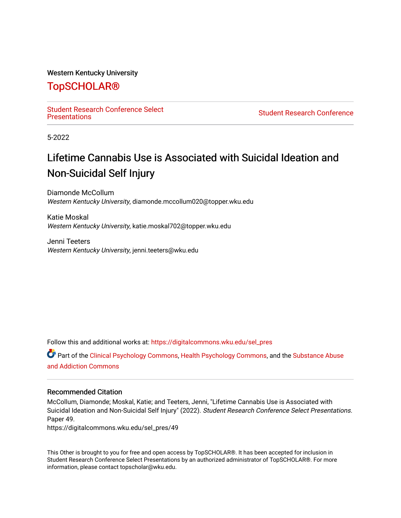### Western Kentucky University

### [TopSCHOLAR®](https://digitalcommons.wku.edu/)

Student Research Conference Select<br>Presentations

**Student Research Conference** 

5-2022

### Lifetime Cannabis Use is Associated with Suicidal Ideation and Non-Suicidal Self Injury

Diamonde McCollum Western Kentucky University, diamonde.mccollum020@topper.wku.edu

Katie Moskal Western Kentucky University, katie.moskal702@topper.wku.edu

Jenni Teeters Western Kentucky University, jenni.teeters@wku.edu

Follow this and additional works at: [https://digitalcommons.wku.edu/sel\\_pres](https://digitalcommons.wku.edu/sel_pres?utm_source=digitalcommons.wku.edu%2Fsel_pres%2F49&utm_medium=PDF&utm_campaign=PDFCoverPages)

Part of the [Clinical Psychology Commons,](https://network.bepress.com/hgg/discipline/406?utm_source=digitalcommons.wku.edu%2Fsel_pres%2F49&utm_medium=PDF&utm_campaign=PDFCoverPages) [Health Psychology Commons](https://network.bepress.com/hgg/discipline/411?utm_source=digitalcommons.wku.edu%2Fsel_pres%2F49&utm_medium=PDF&utm_campaign=PDFCoverPages), and the [Substance Abuse](https://network.bepress.com/hgg/discipline/710?utm_source=digitalcommons.wku.edu%2Fsel_pres%2F49&utm_medium=PDF&utm_campaign=PDFCoverPages)  [and Addiction Commons](https://network.bepress.com/hgg/discipline/710?utm_source=digitalcommons.wku.edu%2Fsel_pres%2F49&utm_medium=PDF&utm_campaign=PDFCoverPages) 

### Recommended Citation

McCollum, Diamonde; Moskal, Katie; and Teeters, Jenni, "Lifetime Cannabis Use is Associated with Suicidal Ideation and Non-Suicidal Self Injury" (2022). Student Research Conference Select Presentations. Paper 49.

https://digitalcommons.wku.edu/sel\_pres/49

This Other is brought to you for free and open access by TopSCHOLAR®. It has been accepted for inclusion in Student Research Conference Select Presentations by an authorized administrator of TopSCHOLAR®. For more information, please contact topscholar@wku.edu.